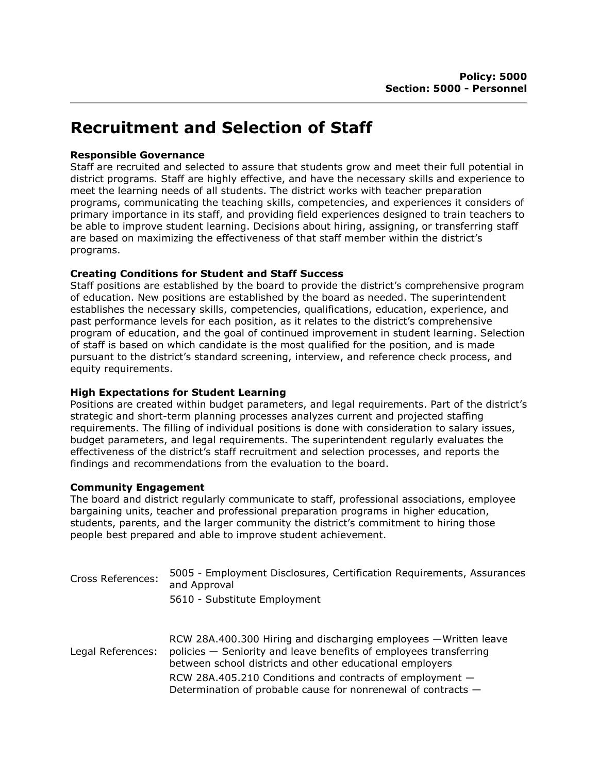# Recruitment and Selection of Staff

### Responsible Governance

Staff are recruited and selected to assure that students grow and meet their full potential in district programs. Staff are highly effective, and have the necessary skills and experience to meet the learning needs of all students. The district works with teacher preparation programs, communicating the teaching skills, competencies, and experiences it considers of primary importance in its staff, and providing field experiences designed to train teachers to be able to improve student learning. Decisions about hiring, assigning, or transferring staff are based on maximizing the effectiveness of that staff member within the district's programs.

## Creating Conditions for Student and Staff Success

Staff positions are established by the board to provide the district's comprehensive program of education. New positions are established by the board as needed. The superintendent establishes the necessary skills, competencies, qualifications, education, experience, and past performance levels for each position, as it relates to the district's comprehensive program of education, and the goal of continued improvement in student learning. Selection of staff is based on which candidate is the most qualified for the position, and is made pursuant to the district's standard screening, interview, and reference check process, and equity requirements.

## High Expectations for Student Learning

Positions are created within budget parameters, and legal requirements. Part of the district's strategic and short-term planning processes analyzes current and projected staffing requirements. The filling of individual positions is done with consideration to salary issues, budget parameters, and legal requirements. The superintendent regularly evaluates the effectiveness of the district's staff recruitment and selection processes, and reports the findings and recommendations from the evaluation to the board.

### Community Engagement

The board and district regularly communicate to staff, professional associations, employee bargaining units, teacher and professional preparation programs in higher education, students, parents, and the larger community the district's commitment to hiring those people best prepared and able to improve student achievement.

| <b>Cross References:</b> | 5005 - Employment Disclosures, Certification Requirements, Assurances<br>and Approval                                                                                                             |
|--------------------------|---------------------------------------------------------------------------------------------------------------------------------------------------------------------------------------------------|
|                          | 5610 - Substitute Employment                                                                                                                                                                      |
| Legal References:        | RCW 28A.400.300 Hiring and discharging employees - Written leave<br>policies – Seniority and leave benefits of employees transferring<br>between school districts and other educational employers |
|                          | RCW 28A.405.210 Conditions and contracts of employment -<br>Determination of probable cause for nonrenewal of contracts -                                                                         |